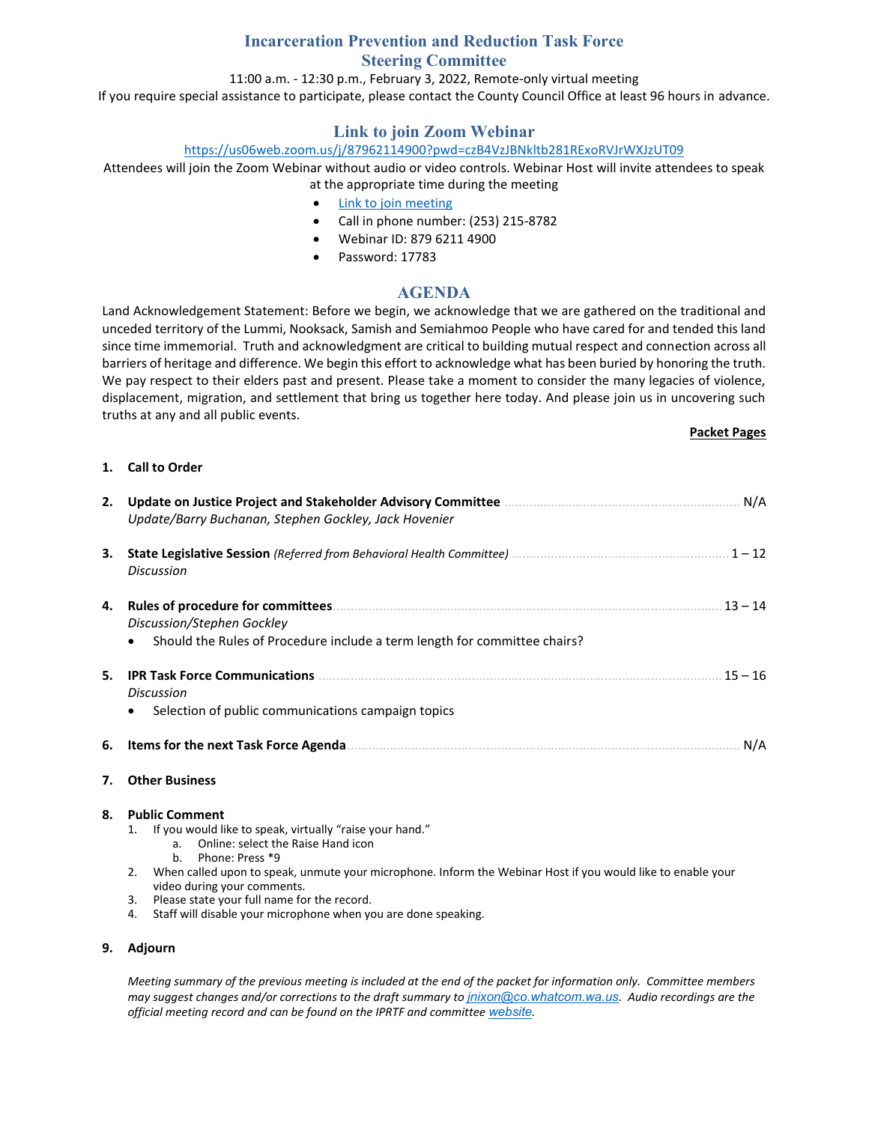## **Incarceration Prevention and Reduction Task Force Steering Committee**

#### 11:00 a.m. - 12:30 p.m., February 3, 2022, Remote-only virtual meeting

If you require special assistance to participate, please contact the County Council Office at least 96 hours in advance.

# **Link to join Zoom Webinar**

#### <https://us06web.zoom.us/j/87962114900?pwd=czB4VzJBNkltb281RExoRVJrWXJzUT09>

Attendees will join the Zoom Webinar without audio or video controls. Webinar Host will invite attendees to speak at the appropriate time during the meeting

- [Link to join meeting](https://us06web.zoom.us/j/87962114900?pwd=czB4VzJBNkltb281RExoRVJrWXJzUT09)
- Call in phone number: (253) 215-8782
- Webinar ID: 879 6211 4900
- Password: 17783

## **AGENDA**

Land Acknowledgement Statement: Before we begin, we acknowledge that we are gathered on the traditional and unceded territory of the Lummi, Nooksack, Samish and Semiahmoo People who have cared for and tended this land since time immemorial. Truth and acknowledgment are critical to building mutual respect and connection across all barriers of heritage and difference. We begin this effort to acknowledge what has been buried by honoring the truth. We pay respect to their elders past and present. Please take a moment to consider the many legacies of violence, displacement, migration, and settlement that bring us together here today. And please join us in uncovering such truths at any and all public events.

#### **Packet Pages**

#### **1. Call to Order**

| 2. | Update/Barry Buchanan, Stephen Gockley, Jack Hovenier                                                                                                                 |  |  |  |  |
|----|-----------------------------------------------------------------------------------------------------------------------------------------------------------------------|--|--|--|--|
| З. | <b>Discussion</b>                                                                                                                                                     |  |  |  |  |
| 4. | $13 - 14$<br>Discussion/Stephen Gockley<br>Should the Rules of Procedure include a term length for committee chairs?                                                  |  |  |  |  |
| 5. | $15 - 16$<br><b>Discussion</b><br>Selection of public communications campaign topics                                                                                  |  |  |  |  |
| 6. | N/A                                                                                                                                                                   |  |  |  |  |
| 7. | <b>Other Business</b>                                                                                                                                                 |  |  |  |  |
| 8. | <b>Public Comment</b><br>If you would like to speak, virtually "raise your hand."<br>1.<br>a. Online: select the Raise Hand icon<br>Phone: Press *9<br>b <sub>1</sub> |  |  |  |  |

- 2. When called upon to speak, unmute your microphone. Inform the Webinar Host if you would like to enable your video during your comments.
- 3. Please state your full name for the record.
- 4. Staff will disable your microphone when you are done speaking.

#### **9. Adjourn**

*Meeting summary of the previous meeting is included at the end of the packet for information only. Committee members may suggest changes and/or corrections to the draft summary to [jnixon@co.whatcom.wa.us](mailto:jnixon@co.whatcom.wa.us). Audio recordings are the official meeting record and can be found on the IPRTF and committee [website](http://www.co.whatcom.wa.us/2052/Incarceration-Prevention-and-Reduction-T).*